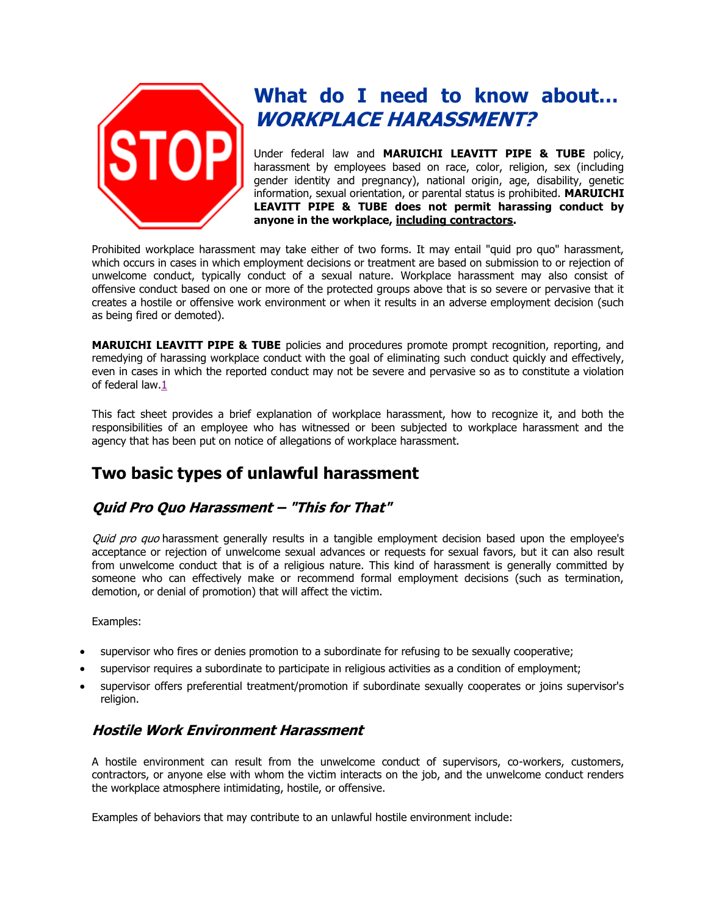

# **What do I need to know about… WORKPLACE HARASSMENT?**

Under federal law and **MARUICHI LEAVITT PIPE & TUBE** policy, harassment by employees based on race, color, religion, sex (including gender identity and pregnancy), national origin, age, disability, genetic information, sexual orientation, or parental status is prohibited. **MARUICHI LEAVITT PIPE & TUBE does not permit harassing conduct by anyone in the workplace, including contractors.**

Prohibited workplace harassment may take either of two forms. It may entail "quid pro quo" harassment, which occurs in cases in which employment decisions or treatment are based on submission to or rejection of unwelcome conduct, typically conduct of a sexual nature. Workplace harassment may also consist of offensive conduct based on one or more of the protected groups above that is so severe or pervasive that it creates a hostile or offensive work environment or when it results in an adverse employment decision (such as being fired or demoted).

**MARUICHI LEAVITT PIPE & TUBE** policies and procedures promote prompt recognition, reporting, and remedying of harassing workplace conduct with the goal of eliminating such conduct quickly and effectively, even in cases in which the reported conduct may not be severe and pervasive so as to constitute a violation of federal law[.1](https://www.dol.gov/oasam/programs/crc/2011-workplace-harassment.htm#1)

This fact sheet provides a brief explanation of workplace harassment, how to recognize it, and both the responsibilities of an employee who has witnessed or been subjected to workplace harassment and the agency that has been put on notice of allegations of workplace harassment.

# **Two basic types of unlawful harassment**

# **Quid Pro Quo Harassment – "This for That"**

Quid pro quo harassment generally results in a tangible employment decision based upon the employee's acceptance or rejection of unwelcome sexual advances or requests for sexual favors, but it can also result from unwelcome conduct that is of a religious nature. This kind of harassment is generally committed by someone who can effectively make or recommend formal employment decisions (such as termination, demotion, or denial of promotion) that will affect the victim.

#### Examples:

- supervisor who fires or denies promotion to a subordinate for refusing to be sexually cooperative;
- supervisor requires a subordinate to participate in religious activities as a condition of employment;
- supervisor offers preferential treatment/promotion if subordinate sexually cooperates or joins supervisor's religion.

## **Hostile Work Environment Harassment**

A hostile environment can result from the unwelcome conduct of supervisors, co-workers, customers, contractors, or anyone else with whom the victim interacts on the job, and the unwelcome conduct renders the workplace atmosphere intimidating, hostile, or offensive.

Examples of behaviors that may contribute to an unlawful hostile environment include: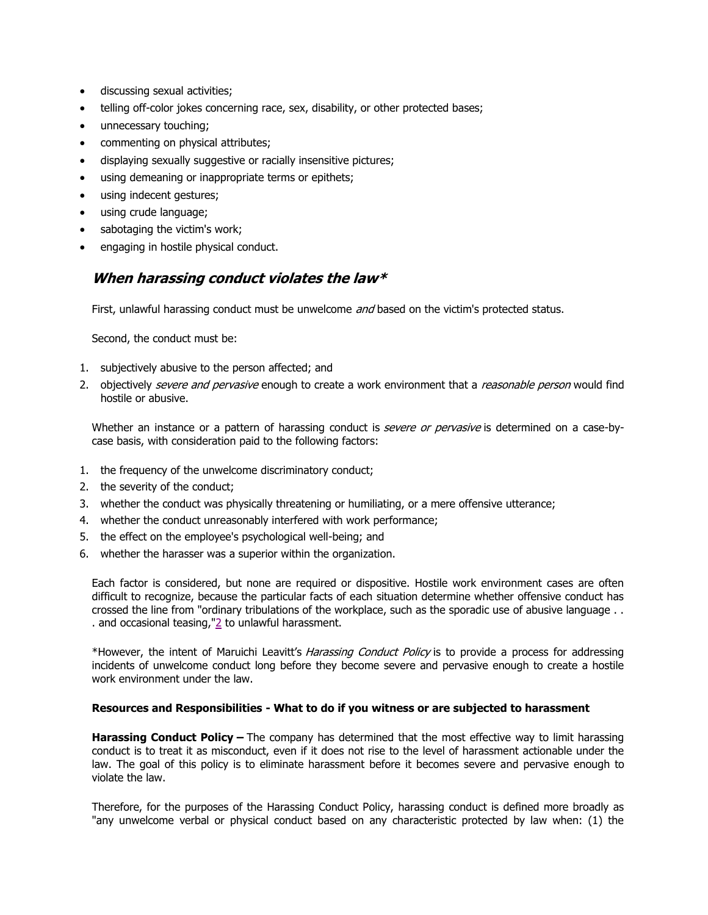- discussing sexual activities;
- telling off-color jokes concerning race, sex, disability, or other protected bases;
- unnecessary touching;
- commenting on physical attributes;
- displaying sexually suggestive or racially insensitive pictures;
- using demeaning or inappropriate terms or epithets;
- using indecent gestures;
- using crude language;
- sabotaging the victim's work;
- engaging in hostile physical conduct.

## **When harassing conduct violates the law\***

First, unlawful harassing conduct must be unwelcome and based on the victim's protected status.

Second, the conduct must be:

- 1. subjectively abusive to the person affected; and
- 2. objectively severe and pervasive enough to create a work environment that a reasonable person would find hostile or abusive.

Whether an instance or a pattern of harassing conduct is *severe or pervasive* is determined on a case-bycase basis, with consideration paid to the following factors:

- 1. the frequency of the unwelcome discriminatory conduct;
- 2. the severity of the conduct;
- 3. whether the conduct was physically threatening or humiliating, or a mere offensive utterance;
- 4. whether the conduct unreasonably interfered with work performance;
- 5. the effect on the employee's psychological well-being; and
- 6. whether the harasser was a superior within the organization.

Each factor is considered, but none are required or dispositive. Hostile work environment cases are often difficult to recognize, because the particular facts of each situation determine whether offensive conduct has crossed the line from "ordinary tribulations of the workplace, such as the sporadic use of abusive language . . . and occasional teasing," $\geq$  to unlawful harassment.

\*However, the intent of Maruichi Leavitt's Harassing Conduct Policy is to provide a process for addressing incidents of unwelcome conduct long before they become severe and pervasive enough to create a hostile work environment under the law.

#### **Resources and Responsibilities - What to do if you witness or are subjected to harassment**

**Harassing Conduct Policy –** The company has determined that the most effective way to limit harassing conduct is to treat it as misconduct, even if it does not rise to the level of harassment actionable under the law. The goal of this policy is to eliminate harassment before it becomes severe and pervasive enough to violate the law.

Therefore, for the purposes of the Harassing Conduct Policy, harassing conduct is defined more broadly as "any unwelcome verbal or physical conduct based on any characteristic protected by law when: (1) the